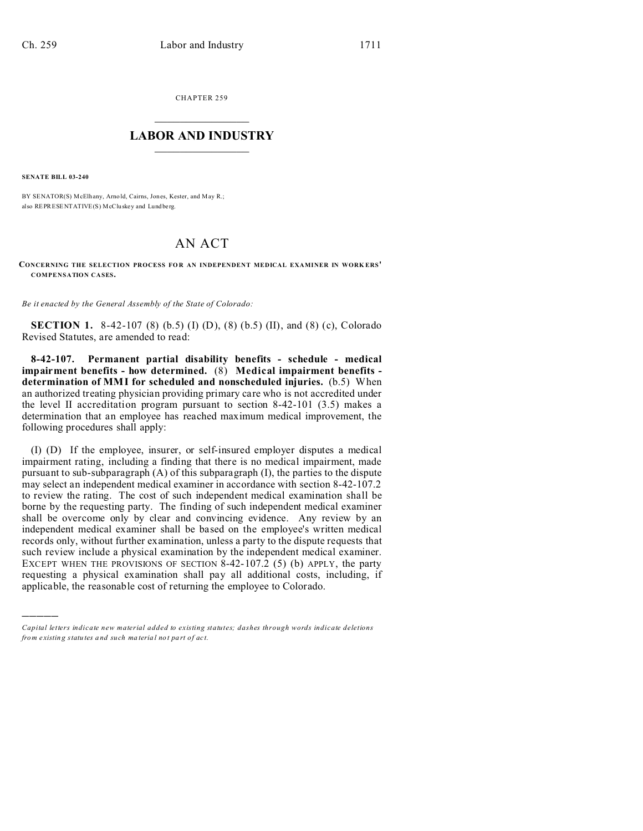CHAPTER 259  $\overline{\phantom{a}}$  , where  $\overline{\phantom{a}}$ 

## **LABOR AND INDUSTRY**  $\frac{1}{\sqrt{2}}$  ,  $\frac{1}{\sqrt{2}}$  ,  $\frac{1}{\sqrt{2}}$  ,  $\frac{1}{\sqrt{2}}$  ,  $\frac{1}{\sqrt{2}}$  ,  $\frac{1}{\sqrt{2}}$

**SENATE BILL 03-240**

)))))

BY SENATOR(S) McElhany, Arnold, Cairns, Jones, Kester, and May R.; also REPRESENTATIVE(S) McCluskey and Lund be rg.

## AN ACT

**CONCERNING THE SELECTION PROCESS FO R AN INDEPENDENT MEDICAL EXAMINER IN WORK ERS' COMPENSATION CASES.**

*Be it enacted by the General Assembly of the State of Colorado:*

**SECTION 1.** 8-42-107 (8) (b.5) (I) (D), (8) (b.5) (II), and (8) (c), Colorado Revised Statutes, are amended to read:

**8-42-107. Permanent partial disability benefits - schedule - medical impairment benefits - how determined.** (8) **Medical impairment benefits determination of MMI for scheduled and nonscheduled injuries.** (b.5) When an authorized treating physician providing primary care who is not accredited under the level II accreditation program pursuant to section 8-42-101 (3.5) makes a determination that an employee has reached maximum medical improvement, the following procedures shall apply:

(I) (D) If the employee, insurer, or self-insured employer disputes a medical impairment rating, including a finding that there is no medical impairment, made pursuant to sub-subparagraph (A) of this subparagraph (I), the parties to the dispute may select an independent medical examiner in accordance with section 8-42-107.2 to review the rating. The cost of such independent medical examination shall be borne by the requesting party. The finding of such independent medical examiner shall be overcome only by clear and convincing evidence. Any review by an independent medical examiner shall be based on the employee's written medical records only, without further examination, unless a party to the dispute requests that such review include a physical examination by the independent medical examiner. EXCEPT WHEN THE PROVISIONS OF SECTION  $8-42-107.2$  (5) (b) APPLY, the party requesting a physical examination shall pay all additional costs, including, if applicable, the reasonable cost of returning the employee to Colorado.

*Capital letters indicate new material added to existing statutes; dashes through words indicate deletions from e xistin g statu tes a nd such ma teria l no t pa rt of ac t.*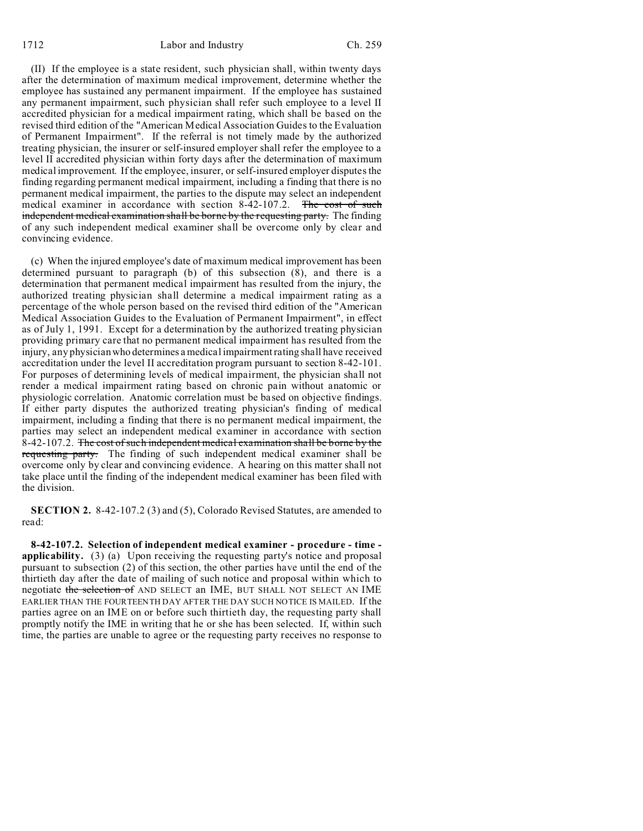1712 Labor and Industry Ch. 259

(II) If the employee is a state resident, such physician shall, within twenty days after the determination of maximum medical improvement, determine whether the employee has sustained any permanent impairment. If the employee has sustained any permanent impairment, such physician shall refer such employee to a level II accredited physician for a medical impairment rating, which shall be based on the revised third edition of the "American Medical Association Guides to the Evaluation of Permanent Impairment". If the referral is not timely made by the authorized treating physician, the insurer or self-insured employer shall refer the employee to a level II accredited physician within forty days after the determination of maximum medical improvement. If the employee, insurer, or self-insured employer disputes the finding regarding permanent medical impairment, including a finding that there is no permanent medical impairment, the parties to the dispute may select an independent medical examiner in accordance with section 8-42-107.2. The cost of such independent medical examination shall be borne by the requesting party. The finding of any such independent medical examiner shall be overcome only by clear and convincing evidence.

(c) When the injured employee's date of maximum medical improvement has been determined pursuant to paragraph (b) of this subsection  $(\overline{8})$ , and there is a determination that permanent medical impairment has resulted from the injury, the authorized treating physician shall determine a medical impairment rating as a percentage of the whole person based on the revised third edition of the "American Medical Association Guides to the Evaluation of Permanent Impairment", in effect as of July 1, 1991. Except for a determination by the authorized treating physician providing primary care that no permanent medical impairment has resulted from the injury, any physician who determines a medical impairment rating shall have received accreditation under the level II accreditation program pursuant to section 8-42-101. For purposes of determining levels of medical impairment, the physician shall not render a medical impairment rating based on chronic pain without anatomic or physiologic correlation. Anatomic correlation must be based on objective findings. If either party disputes the authorized treating physician's finding of medical impairment, including a finding that there is no permanent medical impairment, the parties may select an independent medical examiner in accordance with section 8-42-107.2. The cost of such independent medical examination shall be borne by the requesting party. The finding of such independent medical examiner shall be overcome only by clear and convincing evidence. A hearing on this matter shall not take place until the finding of the independent medical examiner has been filed with the division.

**SECTION 2.** 8-42-107.2 (3) and (5), Colorado Revised Statutes, are amended to read:

**8-42-107.2. Selection of independent medical examiner - procedure - time applicability.** (3) (a) Upon receiving the requesting party's notice and proposal pursuant to subsection (2) of this section, the other parties have until the end of the thirtieth day after the date of mailing of such notice and proposal within which to negotiate the selection of AND SELECT an IME, BUT SHALL NOT SELECT AN IME EARLIER THAN THE FOURTEENTH DAY AFTER THE DAY SUCH NOTICE IS MAILED. If the parties agree on an IME on or before such thirtieth day, the requesting party shall promptly notify the IME in writing that he or she has been selected. If, within such time, the parties are unable to agree or the requesting party receives no response to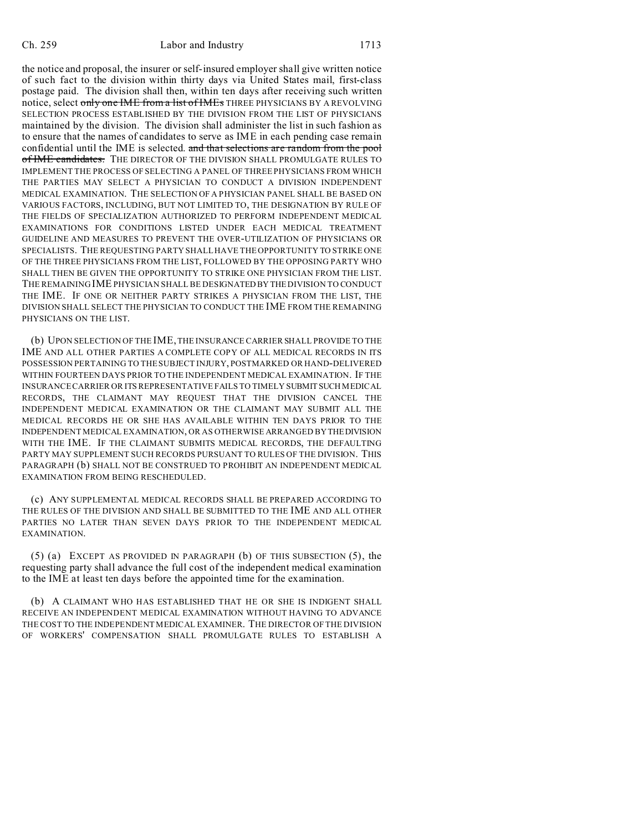the notice and proposal, the insurer or self-insured employer shall give written notice of such fact to the division within thirty days via United States mail, first-class postage paid. The division shall then, within ten days after receiving such written notice, select only one IME from a list of IMEs THREE PHYSICIANS BY A REVOLVING SELECTION PROCESS ESTABLISHED BY THE DIVISION FROM THE LIST OF PHYSICIANS maintained by the division. The division shall administer the list in such fashion as to ensure that the names of candidates to serve as IME in each pending case remain confidential until the IME is selected. and that selections are random from the pool of IME candidates. THE DIRECTOR OF THE DIVISION SHALL PROMULGATE RULES TO IMPLEMENT THE PROCESS OF SELECTING A PANEL OF THREE PHYSICIANS FROM WHICH THE PARTIES MAY SELECT A PHYSICIAN TO CONDUCT A DIVISION INDEPENDENT MEDICAL EXAMINATION. THE SELECTION OF A PHYSICIAN PANEL SHALL BE BASED ON VARIOUS FACTORS, INCLUDING, BUT NOT LIMITED TO, THE DESIGNATION BY RULE OF THE FIELDS OF SPECIALIZATION AUTHORIZED TO PERFORM INDEPENDENT MEDICAL EXAMINATIONS FOR CONDITIONS LISTED UNDER EACH MEDICAL TREATMENT GUIDELINE AND MEASURES TO PREVENT THE OVER-UTILIZATION OF PHYSICIANS OR SPECIALISTS. THE REQUESTING PARTY SHALL HAVE THE OPPORTUNITY TO STRIKE ONE OF THE THREE PHYSICIANS FROM THE LIST, FOLLOWED BY THE OPPOSING PARTY WHO SHALL THEN BE GIVEN THE OPPORTUNITY TO STRIKE ONE PHYSICIAN FROM THE LIST. THE REMAINING IME PHYSICIAN SHALL BE DESIGNATED BY THE DIVISION TO CONDUCT THE IME. IF ONE OR NEITHER PARTY STRIKES A PHYSICIAN FROM THE LIST, THE DIVISION SHALL SELECT THE PHYSICIAN TO CONDUCT THE IME FROM THE REMAINING PHYSICIANS ON THE LIST.

(b) UPON SELECTION OF THE IME, THE INSURANCE CARRIER SHALL PROVIDE TO THE IME AND ALL OTHER PARTIES A COMPLETE COPY OF ALL MEDICAL RECORDS IN ITS POSSESSION PERTAINING TO THE SUBJECT INJURY, POSTMARKED OR HAND-DELIVERED WITHIN FOURTEEN DAYS PRIOR TO THE INDEPENDENT MEDICAL EXAMINATION. IF THE INSURANCE CARRIER OR ITS REPRESENTATIVE FAILS TO TIMELY SUBMITSUCH MEDICAL RECORDS, THE CLAIMANT MAY REQUEST THAT THE DIVISION CANCEL THE INDEPENDENT MEDICAL EXAMINATION OR THE CLAIMANT MAY SUBMIT ALL THE MEDICAL RECORDS HE OR SHE HAS AVAILABLE WITHIN TEN DAYS PRIOR TO THE INDEPENDENT MEDICAL EXAMINATION, OR AS OTHERWISE ARRANGED BY THEDIVISION WITH THE IME. IF THE CLAIMANT SUBMITS MEDICAL RECORDS, THE DEFAULTING PARTY MAY SUPPLEMENT SUCH RECORDS PURSUANT TO RULES OF THE DIVISION. THIS PARAGRAPH (b) SHALL NOT BE CONSTRUED TO PROHIBIT AN INDEPENDENT MEDICAL EXAMINATION FROM BEING RESCHEDULED.

(c) ANY SUPPLEMENTAL MEDICAL RECORDS SHALL BE PREPARED ACCORDING TO THE RULES OF THE DIVISION AND SHALL BE SUBMITTED TO THE IME AND ALL OTHER PARTIES NO LATER THAN SEVEN DAYS PRIOR TO THE INDEPENDENT MEDICAL EXAMINATION.

 $(5)$  (a) EXCEPT AS PROVIDED IN PARAGRAPH (b) OF THIS SUBSECTION  $(5)$ , the requesting party shall advance the full cost of the independent medical examination to the IME at least ten days before the appointed time for the examination.

(b) A CLAIMANT WHO HAS ESTABLISHED THAT HE OR SHE IS INDIGENT SHALL RECEIVE AN INDEPENDENT MEDICAL EXAMINATION WITHOUT HAVING TO ADVANCE THE COST TO THE INDEPENDENT MEDICAL EXAMINER. THE DIRECTOR OF THE DIVISION OF WORKERS' COMPENSATION SHALL PROMULGATE RULES TO ESTABLISH A